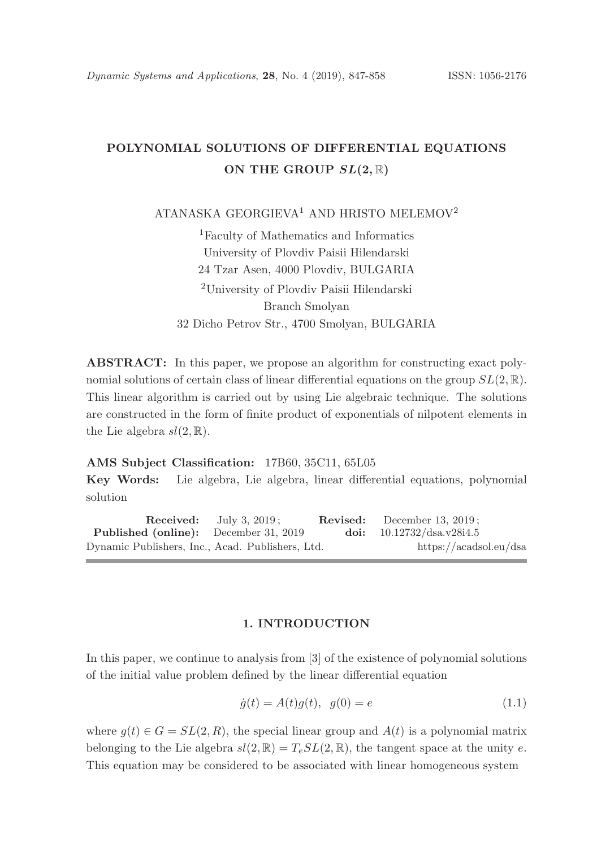# POLYNOMIAL SOLUTIONS OF DIFFERENTIAL EQUATIONS ON THE GROUP  $SL(2,\mathbb{R})$

ATANASKA GEORGIEVA<sup>1</sup> AND HRISTO MELEMOV<sup>2</sup>

<sup>1</sup>Faculty of Mathematics and Informatics University of Plovdiv Paisii Hilendarski 24 Tzar Asen, 4000 Plovdiv, BULGARIA <sup>2</sup>University of Plovdiv Paisii Hilendarski Branch Smolyan 32 Dicho Petrov Str., 4700 Smolyan, BULGARIA

ABSTRACT: In this paper, we propose an algorithm for constructing exact polynomial solutions of certain class of linear differential equations on the group  $SL(2,\mathbb{R})$ . This linear algorithm is carried out by using Lie algebraic technique. The solutions are constructed in the form of finite product of exponentials of nilpotent elements in the Lie algebra  $sl(2,\mathbb{R})$ .

#### AMS Subject Classification: 17B60, 35C11, 65L05

Key Words: Lie algebra, Lie algebra, linear differential equations, polynomial solution

Received: July 3, 2019; Revised: December 13, 2019; Published (online): December 31, 2019 doi: 10.12732/dsa.v28i4.5 Dynamic Publishers, Inc., Acad. Publishers, Ltd. https://acadsol.eu/dsa

### 1. INTRODUCTION

In this paper, we continue to analysis from [3] of the existence of polynomial solutions of the initial value problem defined by the linear differential equation

$$
\dot{g}(t) = A(t)g(t), \ \ g(0) = e \tag{1.1}
$$

where  $g(t) \in G = SL(2, R)$ , the special linear group and  $A(t)$  is a polynomial matrix belonging to the Lie algebra  $sl(2, \mathbb{R}) = T_e SL(2, \mathbb{R})$ , the tangent space at the unity e. This equation may be considered to be associated with linear homogeneous system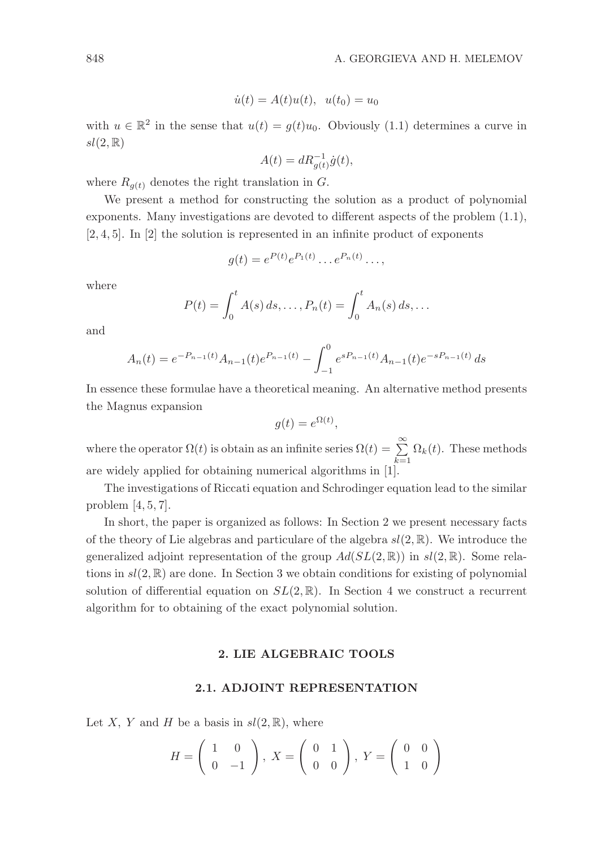$$
\dot{u}(t) = A(t)u(t), \ \ u(t_0) = u_0
$$

with  $u \in \mathbb{R}^2$  in the sense that  $u(t) = g(t)u_0$ . Obviously (1.1) determines a curve in  $sl(2,\mathbb{R})$ 

$$
A(t) = dR_{g(t)}^{-1} \dot{g}(t),
$$

where  $R_{q(t)}$  denotes the right translation in G.

We present a method for constructing the solution as a product of polynomial exponents. Many investigations are devoted to different aspects of the problem (1.1),  $[2, 4, 5]$ . In  $[2]$  the solution is represented in an infinite product of exponents

$$
g(t) = e^{P(t)} e^{P_1(t)} \dots e^{P_n(t)} \dots,
$$

where

$$
P(t) = \int_0^t A(s) \, ds, \dots, P_n(t) = \int_0^t A_n(s) \, ds, \dots
$$

and

$$
A_n(t) = e^{-P_{n-1}(t)} A_{n-1}(t) e^{P_{n-1}(t)} - \int_{-1}^0 e^{sP_{n-1}(t)} A_{n-1}(t) e^{-sP_{n-1}(t)} ds
$$

In essence these formulae have a theoretical meaning. An alternative method presents the Magnus expansion

$$
g(t) = e^{\Omega(t)},
$$

where the operator  $\Omega(t)$  is obtain as an infinite series  $\Omega(t) = \sum_{k=0}^{\infty}$  $\sum_{k=1} \Omega_k(t)$ . These methods are widely applied for obtaining numerical algorithms in [1].

The investigations of Riccati equation and Schrodinger equation lead to the similar problem [4, 5, 7].

In short, the paper is organized as follows: In Section 2 we present necessary facts of the theory of Lie algebras and particulare of the algebra  $sl(2, \mathbb{R})$ . We introduce the generalized adjoint representation of the group  $Ad(SL(2,\mathbb{R}))$  in  $sl(2,\mathbb{R})$ . Some relations in  $sl(2,\mathbb{R})$  are done. In Section 3 we obtain conditions for existing of polynomial solution of differential equation on  $SL(2,\mathbb{R})$ . In Section 4 we construct a recurrent algorithm for to obtaining of the exact polynomial solution.

## 2. LIE ALGEBRAIC TOOLS

#### 2.1. ADJOINT REPRESENTATION

Let X, Y and H be a basis in  $sl(2,\mathbb{R})$ , where

$$
H = \left(\begin{array}{cc} 1 & 0 \\ 0 & -1 \end{array}\right), \ X = \left(\begin{array}{cc} 0 & 1 \\ 0 & 0 \end{array}\right), \ Y = \left(\begin{array}{cc} 0 & 0 \\ 1 & 0 \end{array}\right)
$$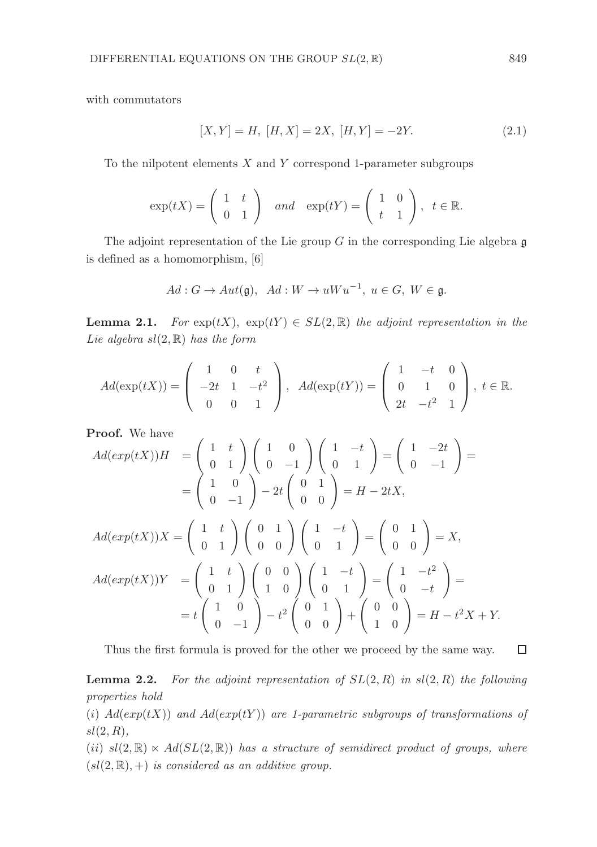with commutators

$$
[X,Y] = H, [H,X] = 2X, [H,Y] = -2Y.
$$
\n(2.1)

To the nilpotent elements  $X$  and  $Y$  correspond 1-parameter subgroups

$$
\exp(tX) = \begin{pmatrix} 1 & t \\ 0 & 1 \end{pmatrix} \quad and \quad \exp(tY) = \begin{pmatrix} 1 & 0 \\ t & 1 \end{pmatrix}, \quad t \in \mathbb{R}.
$$

The adjoint representation of the Lie group  $G$  in the corresponding Lie algebra  $\mathfrak g$ is defined as a homomorphism, [6]

$$
Ad: G \to Aut(\mathfrak{g}), \ Ad: W \to uWu^{-1}, \ u \in G, \ W \in \mathfrak{g}.
$$

**Lemma 2.1.** For  $exp(tX)$ ,  $exp(tY) \in SL(2,\mathbb{R})$  the adjoint representation in the Lie algebra  $sl(2, \mathbb{R})$  has the form

$$
Ad(\exp(tX)) = \begin{pmatrix} 1 & 0 & t \\ -2t & 1 & -t^2 \\ 0 & 0 & 1 \end{pmatrix}, Ad(\exp(tY)) = \begin{pmatrix} 1 & -t & 0 \\ 0 & 1 & 0 \\ 2t & -t^2 & 1 \end{pmatrix}, t \in \mathbb{R}.
$$

Proof. We have

Proof. We have  
\n
$$
Ad(exp(tX))H = \begin{pmatrix} 1 & t \\ 0 & 1 \end{pmatrix} \begin{pmatrix} 1 & 0 \\ 0 & -1 \end{pmatrix} \begin{pmatrix} 1 & -t \\ 0 & 1 \end{pmatrix} = \begin{pmatrix} 1 & -2t \\ 0 & -1 \end{pmatrix} =
$$
\n
$$
= \begin{pmatrix} 1 & 0 \\ 0 & -1 \end{pmatrix} - 2t \begin{pmatrix} 0 & 1 \\ 0 & 0 \end{pmatrix} = H - 2tX,
$$
\n
$$
Ad(exp(tX))X = \begin{pmatrix} 1 & t \\ 0 & 1 \end{pmatrix} \begin{pmatrix} 0 & 1 \\ 0 & 0 \end{pmatrix} \begin{pmatrix} 1 & -t \\ 0 & 1 \end{pmatrix} = \begin{pmatrix} 0 & 1 \\ 0 & 0 \end{pmatrix} = X,
$$
\n
$$
Ad(exp(tX))Y = \begin{pmatrix} 1 & t \\ 0 & 1 \end{pmatrix} \begin{pmatrix} 0 & 0 \\ 1 & 0 \end{pmatrix} \begin{pmatrix} 1 & -t \\ 0 & 1 \end{pmatrix} = \begin{pmatrix} 1 & -t^2 \\ 0 & -t \end{pmatrix} =
$$
\n
$$
= t \begin{pmatrix} 1 & 0 \\ 0 & -1 \end{pmatrix} - t^2 \begin{pmatrix} 0 & 1 \\ 0 & 0 \end{pmatrix} + \begin{pmatrix} 0 & 0 \\ 1 & 0 \end{pmatrix} = H - t^2X + Y.
$$

Thus the first formula is proved for the other we proceed by the same way.

**Lemma 2.2.** For the adjoint representation of  $SL(2, R)$  in  $sl(2, R)$  the following properties hold

(i)  $Ad(exp(tX))$  and  $Ad(exp(tY))$  are 1-parametric subgroups of transformations of  $sl(2, R),$ 

(ii)  $sl(2,\mathbb{R}) \ltimes Ad(SL(2,\mathbb{R}))$  has a structure of semidirect product of groups, where  $(sl(2, \mathbb{R}), +)$  is considered as an additive group.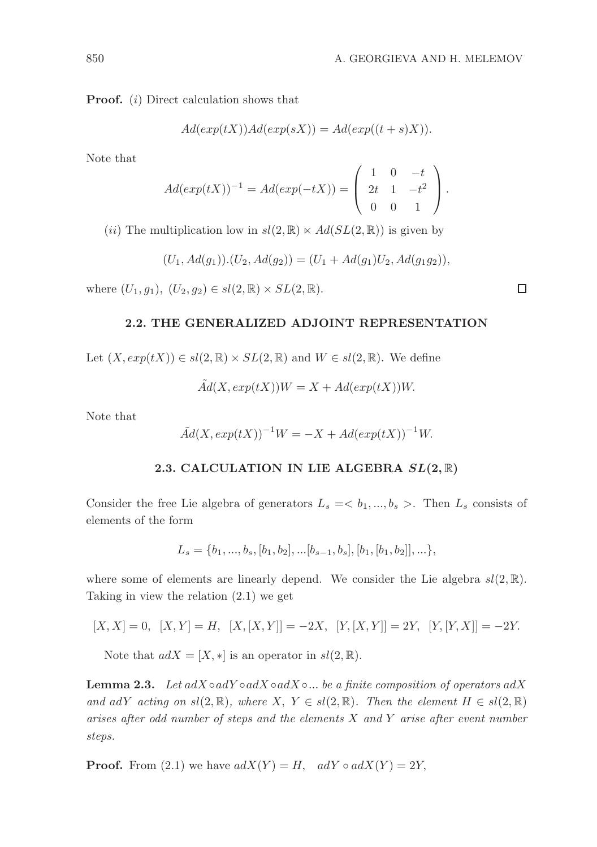Proof. (i) Direct calculation shows that

$$
Ad(exp(tX))Ad(exp(sX)) = Ad(exp((t+s)X)).
$$

Note that

$$
Ad(exp(tX))^{-1} = Ad(exp(-tX)) = \begin{pmatrix} 1 & 0 & -t \\ 2t & 1 & -t^2 \\ 0 & 0 & 1 \end{pmatrix}.
$$

(ii) The multiplication low in  $sl(2,\mathbb{R}) \ltimes Ad(SL(2,\mathbb{R}))$  is given by

$$
(U_1, Ad(g_1)).(U_2, Ad(g_2)) = (U_1 + Ad(g_1)U_2, Ad(g_1g_2)),
$$

where  $(U_1, g_1), (U_2, g_2) \in sl(2, \mathbb{R}) \times SL(2, \mathbb{R}).$ 

## 2.2. THE GENERALIZED ADJOINT REPRESENTATION

Let  $(X, exp(tX)) \in sl(2, \mathbb{R}) \times SL(2, \mathbb{R})$  and  $W \in sl(2, \mathbb{R})$ . We define

 $\tilde{A}d(X, exp(tX))W = X + Ad(exp(tX))W.$ 

Note that

$$
\tilde{A}d(X, exp(tX))^{-1}W = -X + Ad(exp(tX))^{-1}W.
$$

## 2.3. CALCULATION IN LIE ALGEBRA  $SL(2,\mathbb{R})$

Consider the free Lie algebra of generators  $L_s = \langle b_1, ..., b_s \rangle$ . Then  $L_s$  consists of elements of the form

$$
L_s = \{b_1, ..., b_s, [b_1, b_2], ... [b_{s-1}, b_s], [b_1, [b_1, b_2]], ... \},
$$

where some of elements are linearly depend. We consider the Lie algebra  $sl(2,\mathbb{R})$ . Taking in view the relation (2.1) we get

$$
[X, X] = 0, \ [X, Y] = H, \ [X, [X, Y]] = -2X, \ [Y, [X, Y]] = 2Y, \ [Y, [Y, X]] = -2Y.
$$

Note that  $adX = [X, *]$  is an operator in  $sl(2, \mathbb{R})$ .

**Lemma 2.3.** Let  $adX \circ adY \circ adX \circ adX \circ ...$  be a finite composition of operators  $adX$ and adY acting on  $sl(2, \mathbb{R})$ , where  $X, Y \in sl(2, \mathbb{R})$ . Then the element  $H \in sl(2, \mathbb{R})$ arises after odd number of steps and the elements X and Y arise after event number steps.

**Proof.** From (2.1) we have  $adX(Y) = H$ ,  $adY \circ adX(Y) = 2Y$ ,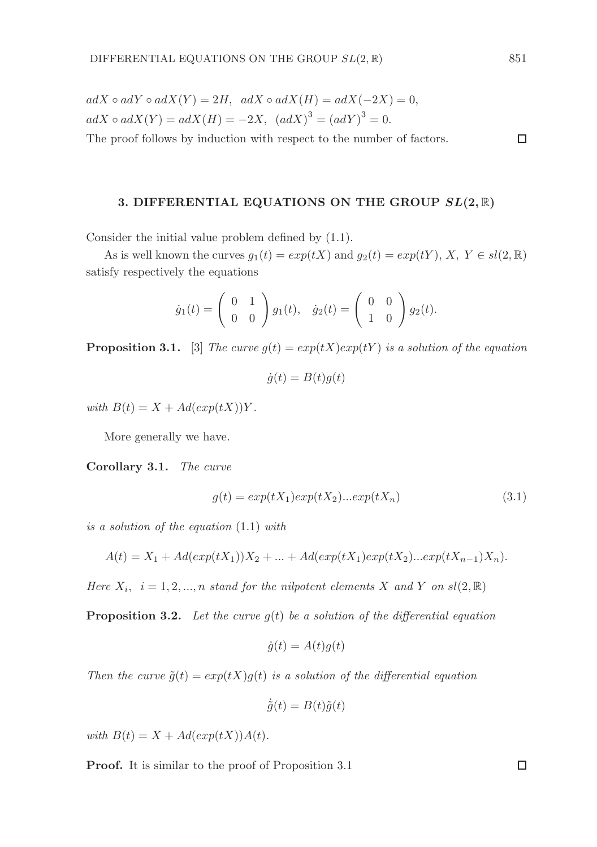$adX \circ adY \circ adX(Y) = 2H$ ,  $adX \circ adX(H) = adX(-2X) = 0$ ,  $adX \circ adX(Y) = adX(H) = -2X$ ,  $(adX)^3 = (adY)^3 = 0$ . The proof follows by induction with respect to the number of factors.

#### 3. DIFFERENTIAL EQUATIONS ON THE GROUP  $SL(2,\mathbb{R})$

Consider the initial value problem defined by (1.1).

As is well known the curves  $g_1(t) = exp(tX)$  and  $g_2(t) = exp(tY)$ ,  $X, Y \in sl(2, \mathbb{R})$ satisfy respectively the equations

$$
\dot{g}_1(t) = \begin{pmatrix} 0 & 1 \\ 0 & 0 \end{pmatrix} g_1(t), \quad \dot{g}_2(t) = \begin{pmatrix} 0 & 0 \\ 1 & 0 \end{pmatrix} g_2(t).
$$

**Proposition 3.1.** [3] The curve  $q(t) = exp(tX)exp(tY)$  is a solution of the equation

$$
\dot{g}(t) = B(t)g(t)
$$

with  $B(t) = X + Ad(exp(tX))Y$ .

More generally we have.

Corollary 3.1. The curve

$$
g(t) = exp(tX_1)exp(tX_2)...exp(tX_n)
$$
\n(3.1)

is a solution of the equation (1.1) with

$$
A(t) = X_1 + Ad(exp(tX_1))X_2 + ... + Ad(exp(tX_1)exp(tX_2)...exp(tX_{n-1})X_n).
$$

Here  $X_i$ ,  $i = 1, 2, ..., n$  stand for the nilpotent elements X and Y on  $sl(2, \mathbb{R})$ 

**Proposition 3.2.** Let the curve  $g(t)$  be a solution of the differential equation

$$
\dot{g}(t) = A(t)g(t)
$$

Then the curve  $\tilde{g}(t) = exp(tX)g(t)$  is a solution of the differential equation

$$
\dot{\tilde{g}}(t) = B(t)\tilde{g}(t)
$$

with  $B(t) = X + Ad(exp(tX))A(t)$ .

Proof. It is similar to the proof of Proposition 3.1

 $\Box$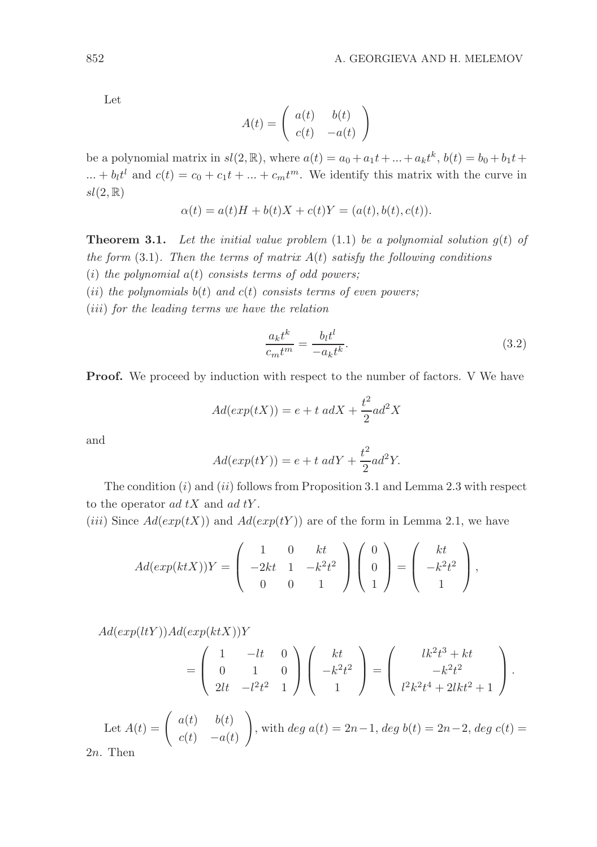Let

$$
A(t) = \begin{pmatrix} a(t) & b(t) \\ c(t) & -a(t) \end{pmatrix}
$$

be a polynomial matrix in  $sl(2, \mathbb{R})$ , where  $a(t) = a_0 + a_1t + ... + a_kt^k$ ,  $b(t) = b_0 + b_1t + ...$ ... +  $b_l t^l$  and  $c(t) = c_0 + c_1 t + \ldots + c_m t^m$ . We identify this matrix with the curve in  $sl(2,\mathbb{R})$ 

$$
\alpha(t) = a(t)H + b(t)X + c(t)Y = (a(t), b(t), c(t)).
$$

**Theorem 3.1.** Let the initial value problem  $(1.1)$  be a polynomial solution  $q(t)$  of the form  $(3.1)$ . Then the terms of matrix  $A(t)$  satisfy the following conditions (i) the polynomial  $a(t)$  consists terms of odd powers;

- (ii) the polynomials  $b(t)$  and  $c(t)$  consists terms of even powers;
- (iii) for the leading terms we have the relation

$$
\frac{a_k t^k}{c_m t^m} = \frac{b_l t^l}{-a_k t^k}.\tag{3.2}
$$

**Proof.** We proceed by induction with respect to the number of factors. V We have

$$
Ad(exp(tX)) = e + t \ adX + \frac{t^2}{2}ad^2X
$$

and

$$
Ad(exp(tY)) = e + t \, adY + \frac{t^2}{2}ad^2Y.
$$

The condition  $(i)$  and  $(ii)$  follows from Proposition 3.1 and Lemma 2.3 with respect to the operator  $ad tX$  and  $ad tY$ .

(iii) Since  $Ad(exp(tX))$  and  $Ad(exp(tY))$  are of the form in Lemma 2.1, we have

$$
Ad(exp(ktX))Y = \begin{pmatrix} 1 & 0 & kt \\ -2kt & 1 & -k^2t^2 \\ 0 & 0 & 1 \end{pmatrix} \begin{pmatrix} 0 \\ 0 \\ 1 \end{pmatrix} = \begin{pmatrix} kt \\ -k^2t^2 \\ 1 \end{pmatrix},
$$

 $Ad(exp(ltY))Ad(exp(ktX))Y$ 

$$
= \begin{pmatrix} 1 & -lt & 0 \\ 0 & 1 & 0 \\ 2lt & -l^2t^2 & 1 \end{pmatrix} \begin{pmatrix} kt \\ -k^2t^2 \\ 1 \end{pmatrix} = \begin{pmatrix} lk^2t^3 + kt \\ -k^2t^2 \\ l^2k^2t^4 + 2ikt^2 + 1 \end{pmatrix}.
$$

Let  $A(t) = \begin{pmatrix} a(t) & b(t) \end{pmatrix}$  $c(t)$  –a(t)  $\setminus$ , with  $deg\ a(t) = 2n-1, deg\ b(t) = 2n-2, deg\ c(t) =$  $2n$ . Then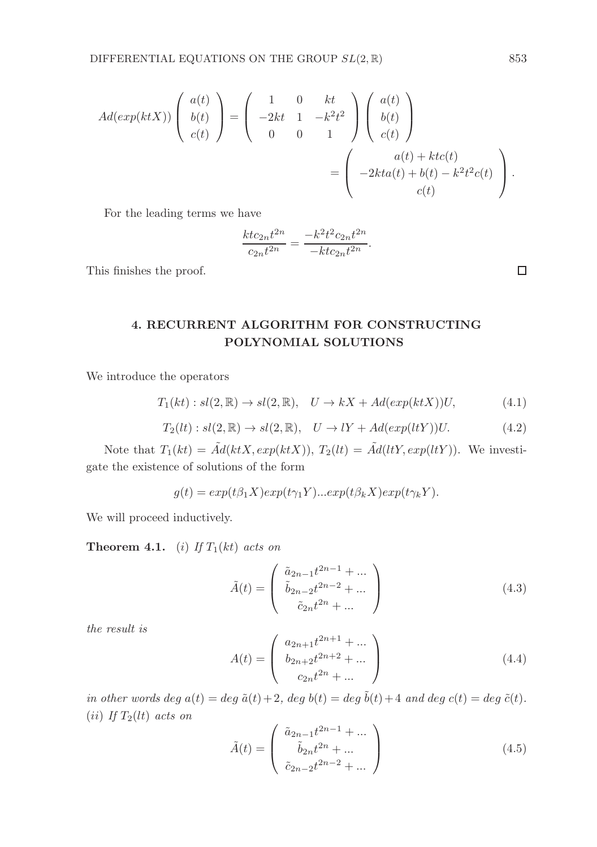$$
Ad(exp(ktX))\begin{pmatrix} a(t) \\ b(t) \\ c(t) \end{pmatrix} = \begin{pmatrix} 1 & 0 & kt \\ -2kt & 1 & -k^2t^2 \\ 0 & 0 & 1 \end{pmatrix} \begin{pmatrix} a(t) \\ b(t) \\ c(t) \end{pmatrix}
$$

$$
= \begin{pmatrix} a(t) + ktc(t) \\ -2kta(t) + b(t) - k^2t^2c(t) \\ c(t) \end{pmatrix}.
$$

For the leading terms we have

$$
\frac{ktc_{2n}t^{2n}}{c_{2n}t^{2n}} = \frac{-k^2t^2c_{2n}t^{2n}}{-ktc_{2n}t^{2n}}.
$$

This finishes the proof.

4. RECURRENT ALGORITHM FOR CONSTRUCTING POLYNOMIAL SOLUTIONS

We introduce the operators

$$
T_1(kt): sl(2,\mathbb{R}) \to sl(2,\mathbb{R}), \quad U \to kX + Ad(exp(ktX))U,
$$
\n(4.1)

$$
T_2(lt): sl(2,\mathbb{R}) \to sl(2,\mathbb{R}), \quad U \to lY + Ad(exp(ltY))U.
$$
 (4.2)

Note that  $T_1(kt) = \tilde{A}d(ktX, exp(ktX)), T_2(lt) = \tilde{A}d(ltY, exp(ltY)).$  We investigate the existence of solutions of the form

$$
g(t) = exp(t\beta_1 X) exp(t\gamma_1 Y) ... exp(t\beta_k X) exp(t\gamma_k Y).
$$

We will proceed inductively.

**Theorem 4.1.** (i) If  $T_1(kt)$  acts on

$$
\tilde{A}(t) = \begin{pmatrix} \tilde{a}_{2n-1}t^{2n-1} + \dots \\ \tilde{b}_{2n-2}t^{2n-2} + \dots \\ \tilde{c}_{2n}t^{2n} + \dots \end{pmatrix}
$$
\n(4.3)

the result is

$$
A(t) = \begin{pmatrix} a_{2n+1}t^{2n+1} + \dots \\ b_{2n+2}t^{2n+2} + \dots \\ c_{2n}t^{2n} + \dots \end{pmatrix}
$$
 (4.4)

in other words deg  $a(t) = \deg \tilde{a}(t) + 2$ , deg  $b(t) = \deg \tilde{b}(t) + 4$  and  $\deg c(t) = \deg \tilde{c}(t)$ . (*ii*) If  $T_2(lt)$  acts on

$$
\tilde{A}(t) = \begin{pmatrix} \tilde{a}_{2n-1}t^{2n-1} + \dots \\ \tilde{b}_{2n}t^{2n} + \dots \\ \tilde{c}_{2n-2}t^{2n-2} + \dots \end{pmatrix}
$$
\n(4.5)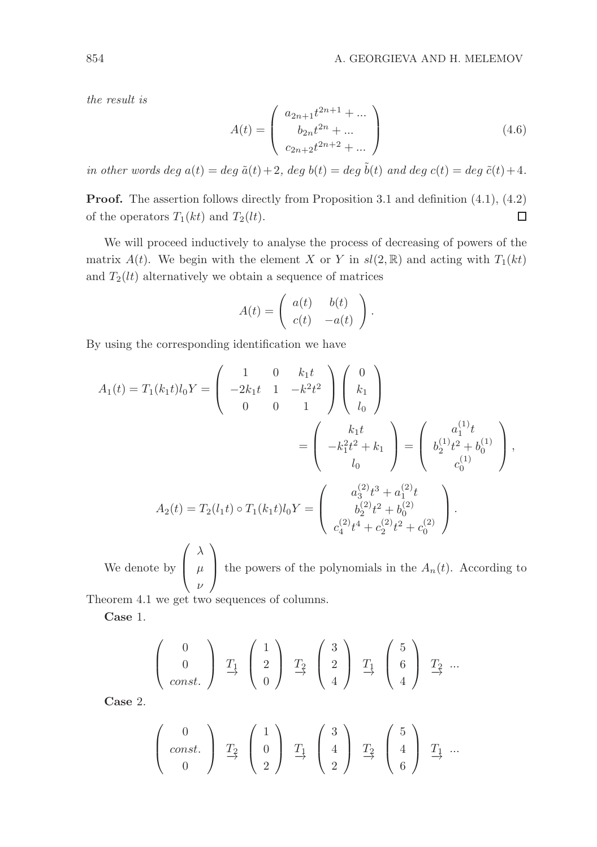the result is

$$
A(t) = \begin{pmatrix} a_{2n+1}t^{2n+1} + \dots \\ b_{2n}t^{2n} + \dots \\ c_{2n+2}t^{2n+2} + \dots \end{pmatrix}
$$
 (4.6)

in other words deg  $a(t) = deg \tilde{a}(t) + 2$ , deg  $b(t) = deg \tilde{b}(t)$  and deg  $c(t) = deg \tilde{c}(t) + 4$ .

Proof. The assertion follows directly from Proposition 3.1 and definition (4.1), (4.2) of the operators  $T_1(kt)$  and  $T_2(lt)$ . □

We will proceed inductively to analyse the process of decreasing of powers of the matrix  $A(t)$ . We begin with the element X or Y in  $sl(2,\mathbb{R})$  and acting with  $T_1(kt)$ and  $T_2(lt)$  alternatively we obtain a sequence of matrices

$$
A(t) = \begin{pmatrix} a(t) & b(t) \\ c(t) & -a(t) \end{pmatrix}.
$$

By using the corresponding identification we have

$$
A_1(t) = T_1(k_1 t) l_0 Y = \begin{pmatrix} 1 & 0 & k_1 t \\ -2k_1 t & 1 & -k^2 t^2 \\ 0 & 0 & 1 \end{pmatrix} \begin{pmatrix} 0 \\ k_1 \\ l_0 \end{pmatrix}
$$
  
= 
$$
\begin{pmatrix} k_1 t \\ -k_1^2 t^2 + k_1 \\ l_0 \end{pmatrix} = \begin{pmatrix} a_1^{(1)} t \\ b_2^{(1)} t^2 + b_0^{(1)} \\ c_0^{(1)} \end{pmatrix},
$$
  

$$
A_2(t) = T_2(l_1 t) \circ T_1(k_1 t) l_0 Y = \begin{pmatrix} a_3^{(2)} t^3 + a_1^{(2)} t \\ b_2^{(2)} t^2 + b_0^{(2)} \\ c_4^{(2)} t^4 + c_2^{(2)} t^2 + c_0^{(2)} \end{pmatrix}.
$$

We denote by  $\sqrt{ }$  $\overline{ }$ λ  $\mu$ ν  $\setminus$ the powers of the polynomials in the  $A_n(t)$ . According to

Theorem 4.1 we get two sequences of columns.

Case 1.

$$
\left(\begin{array}{c}0\\0\\const.\end{array}\right) \begin{array}{c}T_1\\ \rightarrow \end{array}\left(\begin{array}{c}1\\2\\0\end{array}\right) \begin{array}{c}T_2\\ \rightarrow \end{array}\left(\begin{array}{c}3\\2\\4\end{array}\right) \begin{array}{c}T_1\\ \rightarrow \end{array}\left(\begin{array}{c}5\\6\\4\end{array}\right) \begin{array}{c}T_2\\ \rightarrow \end{array}...
$$

Case 2.

$$
\left(\begin{array}{c}0\\const.\\0\end{array}\right)\begin{array}{c}T_2\\ \rightarrow\end{array}\left(\begin{array}{c}1\\0\\2\end{array}\right)\begin{array}{c}T_1\\ \rightarrow\end{array}\left(\begin{array}{c}3\\4\\2\end{array}\right)\begin{array}{c}T_2\\ \rightarrow\end{array}\left(\begin{array}{c}5\\4\\6\end{array}\right)\begin{array}{c}T_1\\ \rightarrow\end{array}\cdots
$$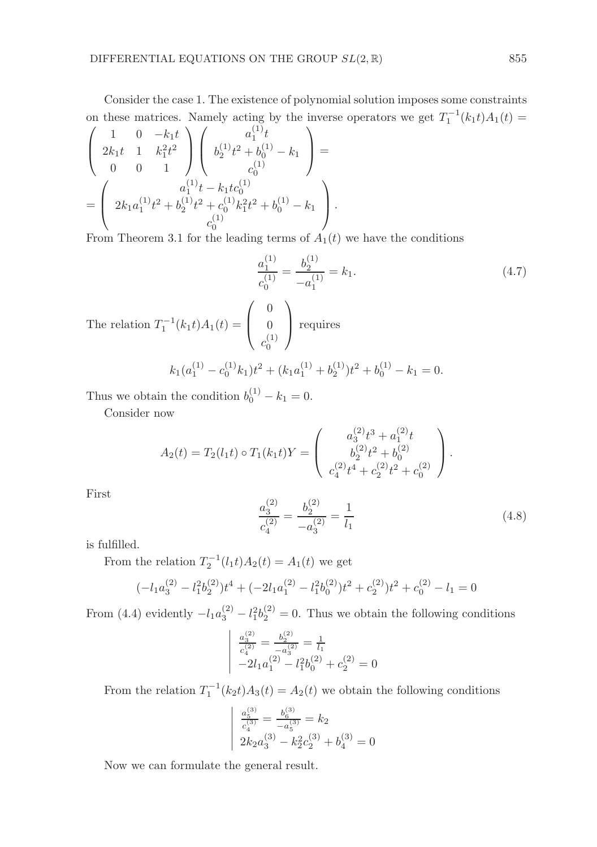Consider the case 1. The existence of polynomial solution imposes some constraints on these matrices. Namely acting by the inverse operators we get  $T_1^{-1}(k_1t)A_1(t) =$  $\sqrt{ }$  $\overline{\mathcal{L}}$ 1 0  $-k_1t$  $2k_1t \quad 1 \quad k_1^2t^2$ 0 0 1  $\setminus$  $\Big\}$  $\sqrt{ }$  $\overline{\phantom{a}}$  $a_1^{(1)}t$  $b_2^{(1)}t^2 + b_0^{(1)} - k_1$  $c_0^{(1)}$  $\setminus$  $\Big\} =$ =  $\sqrt{ }$  $\overline{ }$  $a_1^{(1)}t - k_1tc_0^{(1)}$  $2k_1a_1^{(1)}t^2 + b_2^{(1)}t^2 + c_0^{(1)}k_1^2t^2 + b_0^{(1)} - k_1$  $c_0^{(1)}$  $\setminus$  $\vert \cdot$ 

From Theorem 3.1 for the leading terms of  $A_1(t)$  we have the conditions

$$
\frac{a_1^{(1)}}{c_0^{(1)}} = \frac{b_2^{(1)}}{-a_1^{(1)}} = k_1.
$$
\n(4.7)

The relation  $T_1^{-1}(k_1t)A_1(t) =$  $\sqrt{ }$  $\overline{ }$  $\theta$  $\theta$  $c_0^{(1)}$  $\setminus$  requires  $k_1(a_1^{(1)} - c_0^{(1)}k_1)t^2 + (k_1a_1^{(1)} + b_2^{(1)})t^2 + b_0^{(1)} - k_1 = 0.$ 

Thus we obtain the condition  $b_0^{(1)} - k_1 = 0$ .

Consider now

$$
A_2(t) = T_2(l_1t) \circ T_1(k_1t)Y = \begin{pmatrix} a_3^{(2)}t^3 + a_1^{(2)}t \\ b_2^{(2)}t^2 + b_0^{(2)} \\ c_4^{(2)}t^4 + c_2^{(2)}t^2 + c_0^{(2)} \end{pmatrix}.
$$

First

$$
\frac{a_3^{(2)}}{c_4^{(2)}} = \frac{b_2^{(2)}}{-a_3^{(2)}} = \frac{1}{l_1}
$$
\n(4.8)

is fulfilled.

From the relation  $T_2^{-1}(l_1t)A_2(t) = A_1(t)$  we get

$$
(-l_1a_3^{(2)} - l_1^2b_2^{(2)})t^4 + (-2l_1a_1^{(2)} - l_1^2b_0^{(2)})t^2 + c_2^{(2)})t^2 + c_0^{(2)} - l_1 = 0
$$

From (4.4) evidently  $-l_1 a_3^{(2)} - l_1^2 b_2^{(2)} = 0$ . Thus we obtain the following conditions

$$
\begin{vmatrix} \frac{a_3^{(2)}}{c_4^{(2)}} = \frac{b_2^{(2)}}{-a_3^{(2)}} = \frac{1}{l_1} \\ -2l_1a_1^{(2)} - l_1^2b_0^{(2)} + c_2^{(2)} = 0 \end{vmatrix}
$$

From the relation  $T_1^{-1}(k_2t)A_3(t) = A_2(t)$  we obtain the following conditions

$$
\begin{cases} \frac{a_5^{(3)}}{c_4^{(3)}} = \frac{b_6^{(3)}}{-a_5^{(3)}} = k_2\\ 2k_2a_3^{(3)} - k_2^2c_2^{(3)} + b_4^{(3)} = 0 \end{cases}
$$

Now we can formulate the general result.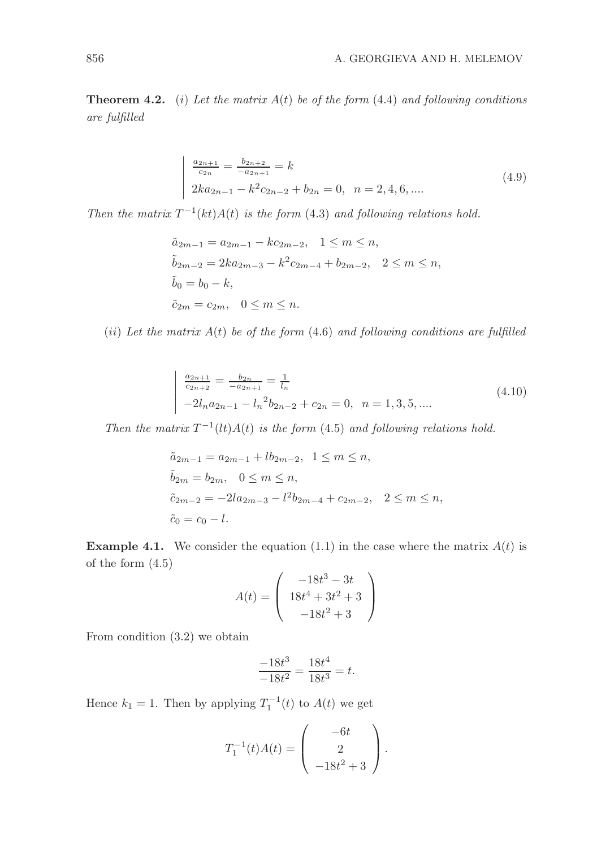**Theorem 4.2.** (i) Let the matrix  $A(t)$  be of the form (4.4) and following conditions are fulfilled

$$
\frac{a_{2n+1}}{c_{2n}} = \frac{b_{2n+2}}{-a_{2n+1}} = k
$$
  
2ka<sub>2n-1</sub> - k<sup>2</sup>c<sub>2n-2</sub> + b<sub>2n</sub> = 0, n = 2, 4, 6, .... (4.9)

Then the matrix  $T^{-1}(kt)A(t)$  is the form (4.3) and following relations hold.

$$
\tilde{a}_{2m-1} = a_{2m-1} - kc_{2m-2}, \quad 1 \le m \le n,
$$
  
\n
$$
\tilde{b}_{2m-2} = 2ka_{2m-3} - k^2c_{2m-4} + b_{2m-2}, \quad 2 \le m \le n,
$$
  
\n
$$
\tilde{b}_0 = b_0 - k,
$$
  
\n
$$
\tilde{c}_{2m} = c_{2m}, \quad 0 \le m \le n.
$$

(ii) Let the matrix  $A(t)$  be of the form (4.6) and following conditions are fulfilled

$$
\begin{vmatrix}\n\frac{a_{2n+1}}{c_{2n+2}} = \frac{b_{2n}}{-a_{2n+1}} = \frac{1}{l_n} \\
-2l_n a_{2n-1} - l_n^2 b_{2n-2} + c_{2n} = 0, \quad n = 1, 3, 5, ....\n\end{vmatrix}
$$
\n(4.10)

Then the matrix  $T^{-1}(lt)A(t)$  is the form (4.5) and following relations hold.

$$
\tilde{a}_{2m-1} = a_{2m-1} + lb_{2m-2}, \quad 1 \le m \le n,
$$
  
\n
$$
\tilde{b}_{2m} = b_{2m}, \quad 0 \le m \le n,
$$
  
\n
$$
\tilde{c}_{2m-2} = -2la_{2m-3} - l^2b_{2m-4} + c_{2m-2}, \quad 2 \le m \le n,
$$
  
\n
$$
\tilde{c}_0 = c_0 - l.
$$

**Example 4.1.** We consider the equation (1.1) in the case where the matrix  $A(t)$  is of the form (4.5)

$$
A(t) = \begin{pmatrix} -18t^3 - 3t \\ 18t^4 + 3t^2 + 3 \\ -18t^2 + 3 \end{pmatrix}
$$

From condition (3.2) we obtain

$$
\frac{-18t^3}{-18t^2} = \frac{18t^4}{18t^3} = t.
$$

Hence  $k_1 = 1$ . Then by applying  $T_1^{-1}(t)$  to  $A(t)$  we get

$$
T_1^{-1}(t)A(t) = \begin{pmatrix} -6t \\ 2 \\ -18t^2 + 3 \end{pmatrix}.
$$

 $\overline{\phantom{a}}$  $\overline{\phantom{a}}$  $\overline{\phantom{a}}$  $\overline{\phantom{a}}$  $\overline{\phantom{a}}$ I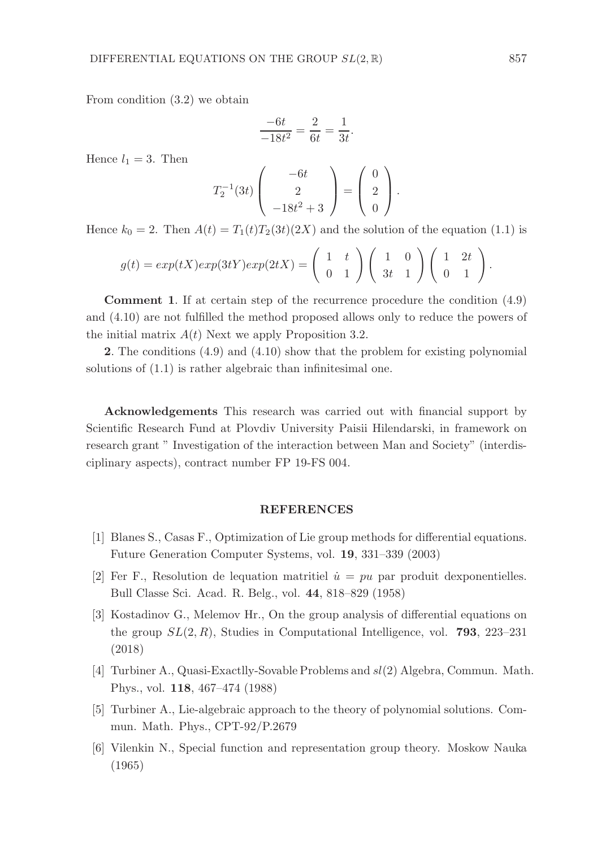From condition (3.2) we obtain

$$
\frac{-6t}{-18t^2} = \frac{2}{6t} = \frac{1}{3t}.
$$

Hence  $l_1 = 3$ . Then

$$
T_2^{-1}(3t)\left(\begin{array}{c}-6t\\2\\-18t^2+3\end{array}\right)=\left(\begin{array}{c}0\\2\\0\end{array}\right).
$$

Hence  $k_0 = 2$ . Then  $A(t) = T_1(t)T_2(3t)(2X)$  and the solution of the equation (1.1) is

$$
g(t) = exp(tX)exp(3tY)exp(2tX) = \begin{pmatrix} 1 & t \\ 0 & 1 \end{pmatrix} \begin{pmatrix} 1 & 0 \\ 3t & 1 \end{pmatrix} \begin{pmatrix} 1 & 2t \\ 0 & 1 \end{pmatrix}
$$

Comment 1. If at certain step of the recurrence procedure the condition (4.9) and (4.10) are not fulfilled the method proposed allows only to reduce the powers of the initial matrix  $A(t)$  Next we apply Proposition 3.2.

2. The conditions (4.9) and (4.10) show that the problem for existing polynomial solutions of (1.1) is rather algebraic than infinitesimal one.

Acknowledgements This research was carried out with financial support by Scientific Research Fund at Plovdiv University Paisii Hilendarski, in framework on research grant " Investigation of the interaction between Man and Society" (interdisciplinary aspects), contract number FP 19-FS 004.

#### REFERENCES

- [1] Blanes S., Casas F., Optimization of Lie group methods for differential equations. Future Generation Computer Systems, vol. 19, 331–339 (2003)
- [2] Fer F., Resolution de lequation matritiel  $\dot{u} = pu$  par produit dexponentielles. Bull Classe Sci. Acad. R. Belg., vol. 44, 818–829 (1958)
- [3] Kostadinov G., Melemov Hr., On the group analysis of differential equations on the group  $SL(2, R)$ , Studies in Computational Intelligence, vol. **793**, 223–231 (2018)
- [4] Turbiner A., Quasi-Exactlly-Sovable Problems and sl(2) Algebra, Commun. Math. Phys., vol. 118, 467–474 (1988)
- [5] Turbiner A., Lie-algebraic approach to the theory of polynomial solutions. Commun. Math. Phys., CPT-92/P.2679
- [6] Vilenkin N., Special function and representation group theory. Moskow Nauka (1965)

.